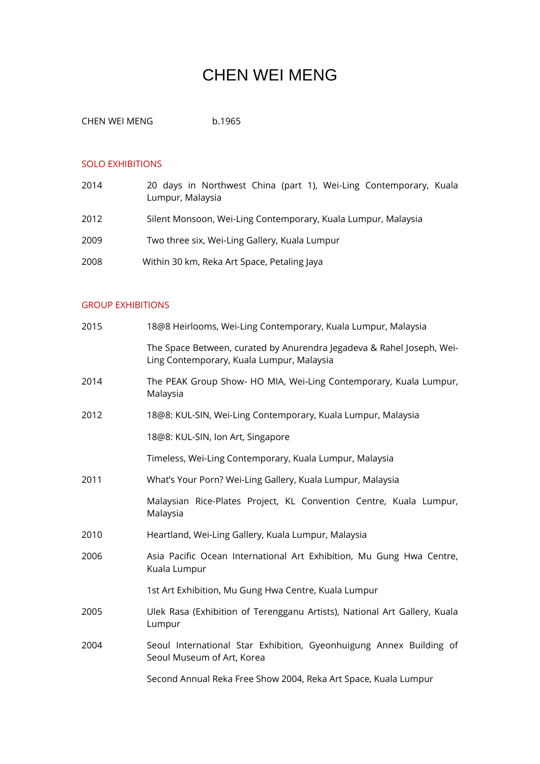## CHEN WEI MENG

CHEN WEI MENG<br>
b.1965

## SOLO EXHIBITIONS

| 2014 | 20 days in Northwest China (part 1), Wei-Ling Contemporary, Kuala<br>Lumpur, Malaysia |
|------|---------------------------------------------------------------------------------------|
| 2012 | Silent Monsoon, Wei-Ling Contemporary, Kuala Lumpur, Malaysia                         |
| 2009 | Two three six, Wei-Ling Gallery, Kuala Lumpur                                         |
| 2008 | Within 30 km, Reka Art Space, Petaling Jaya                                           |

## GROUP EXHIBITIONS

| 2015 | 18@8 Heirlooms, Wei-Ling Contemporary, Kuala Lumpur, Malaysia                                                      |
|------|--------------------------------------------------------------------------------------------------------------------|
|      | The Space Between, curated by Anurendra Jegadeva & Rahel Joseph, Wei-<br>Ling Contemporary, Kuala Lumpur, Malaysia |
| 2014 | The PEAK Group Show- HO MIA, Wei-Ling Contemporary, Kuala Lumpur,<br>Malaysia                                      |
| 2012 | 18@8: KUL-SIN, Wei-Ling Contemporary, Kuala Lumpur, Malaysia                                                       |
|      | 18@8: KUL-SIN, Ion Art, Singapore                                                                                  |
|      | Timeless, Wei-Ling Contemporary, Kuala Lumpur, Malaysia                                                            |
| 2011 | What's Your Porn? Wei-Ling Gallery, Kuala Lumpur, Malaysia                                                         |
|      | Malaysian Rice-Plates Project, KL Convention Centre, Kuala Lumpur,<br>Malaysia                                     |
| 2010 | Heartland, Wei-Ling Gallery, Kuala Lumpur, Malaysia                                                                |
| 2006 | Asia Pacific Ocean International Art Exhibition, Mu Gung Hwa Centre,<br>Kuala Lumpur                               |
|      | 1st Art Exhibition, Mu Gung Hwa Centre, Kuala Lumpur                                                               |
| 2005 | Ulek Rasa (Exhibition of Terengganu Artists), National Art Gallery, Kuala<br>Lumpur                                |
| 2004 | Seoul International Star Exhibition, Gyeonhuigung Annex Building of<br>Seoul Museum of Art, Korea                  |
|      | Second Annual Reka Free Show 2004, Reka Art Space, Kuala Lumpur                                                    |
|      |                                                                                                                    |